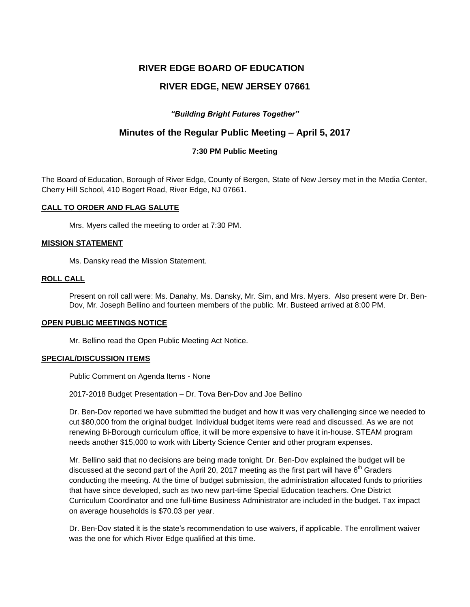# **RIVER EDGE BOARD OF EDUCATION**

# **RIVER EDGE, NEW JERSEY 07661**

# *"Building Bright Futures Together"*

# **Minutes of the Regular Public Meeting – April 5, 2017**

# **7:30 PM Public Meeting**

The Board of Education, Borough of River Edge, County of Bergen, State of New Jersey met in the Media Center, Cherry Hill School, 410 Bogert Road, River Edge, NJ 07661.

## **CALL TO ORDER AND FLAG SALUTE**

Mrs. Myers called the meeting to order at 7:30 PM.

## **MISSION STATEMENT**

Ms. Dansky read the Mission Statement.

# **ROLL CALL**

Present on roll call were: Ms. Danahy, Ms. Dansky, Mr. Sim, and Mrs. Myers. Also present were Dr. Ben-Dov, Mr. Joseph Bellino and fourteen members of the public. Mr. Busteed arrived at 8:00 PM.

#### **OPEN PUBLIC MEETINGS NOTICE**

Mr. Bellino read the Open Public Meeting Act Notice.

# **SPECIAL/DISCUSSION ITEMS**

Public Comment on Agenda Items - None

2017-2018 Budget Presentation – Dr. Tova Ben-Dov and Joe Bellino

Dr. Ben-Dov reported we have submitted the budget and how it was very challenging since we needed to cut \$80,000 from the original budget. Individual budget items were read and discussed. As we are not renewing Bi-Borough curriculum office, it will be more expensive to have it in-house. STEAM program needs another \$15,000 to work with Liberty Science Center and other program expenses.

Mr. Bellino said that no decisions are being made tonight. Dr. Ben-Dov explained the budget will be discussed at the second part of the April 20, 2017 meeting as the first part will have  $6<sup>th</sup>$  Graders conducting the meeting. At the time of budget submission, the administration allocated funds to priorities that have since developed, such as two new part-time Special Education teachers. One District Curriculum Coordinator and one full-time Business Administrator are included in the budget. Tax impact on average households is \$70.03 per year.

Dr. Ben-Dov stated it is the state's recommendation to use waivers, if applicable. The enrollment waiver was the one for which River Edge qualified at this time.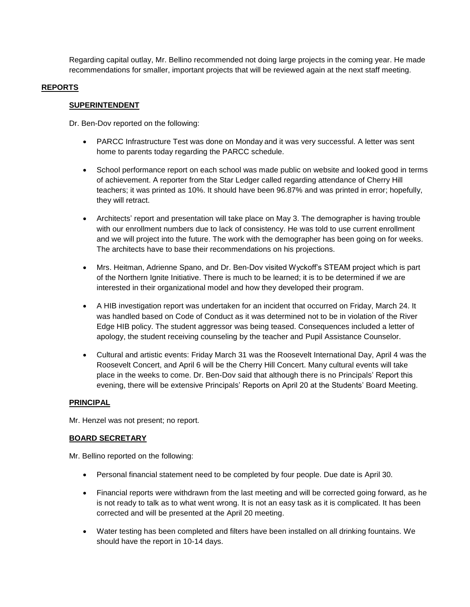Regarding capital outlay, Mr. Bellino recommended not doing large projects in the coming year. He made recommendations for smaller, important projects that will be reviewed again at the next staff meeting.

# **REPORTS**

## **SUPERINTENDENT**

Dr. Ben-Dov reported on the following:

- PARCC Infrastructure Test was done on Monday and it was very successful. A letter was sent home to parents today regarding the PARCC schedule.
- School performance report on each school was made public on website and looked good in terms of achievement. A reporter from the Star Ledger called regarding attendance of Cherry Hill teachers; it was printed as 10%. It should have been 96.87% and was printed in error; hopefully, they will retract.
- Architects' report and presentation will take place on May 3. The demographer is having trouble with our enrollment numbers due to lack of consistency. He was told to use current enrollment and we will project into the future. The work with the demographer has been going on for weeks. The architects have to base their recommendations on his projections.
- Mrs. Heitman, Adrienne Spano, and Dr. Ben-Dov visited Wyckoff's STEAM project which is part of the Northern Ignite Initiative. There is much to be learned; it is to be determined if we are interested in their organizational model and how they developed their program.
- A HIB investigation report was undertaken for an incident that occurred on Friday, March 24. It was handled based on Code of Conduct as it was determined not to be in violation of the River Edge HIB policy. The student aggressor was being teased. Consequences included a letter of apology, the student receiving counseling by the teacher and Pupil Assistance Counselor.
- Cultural and artistic events: Friday March 31 was the Roosevelt International Day, April 4 was the Roosevelt Concert, and April 6 will be the Cherry Hill Concert. Many cultural events will take place in the weeks to come. Dr. Ben-Dov said that although there is no Principals' Report this evening, there will be extensive Principals' Reports on April 20 at the Students' Board Meeting.

# **PRINCIPAL**

Mr. Henzel was not present; no report.

# **BOARD SECRETARY**

Mr. Bellino reported on the following:

- Personal financial statement need to be completed by four people. Due date is April 30.
- Financial reports were withdrawn from the last meeting and will be corrected going forward, as he is not ready to talk as to what went wrong. It is not an easy task as it is complicated. It has been corrected and will be presented at the April 20 meeting.
- Water testing has been completed and filters have been installed on all drinking fountains. We should have the report in 10-14 days.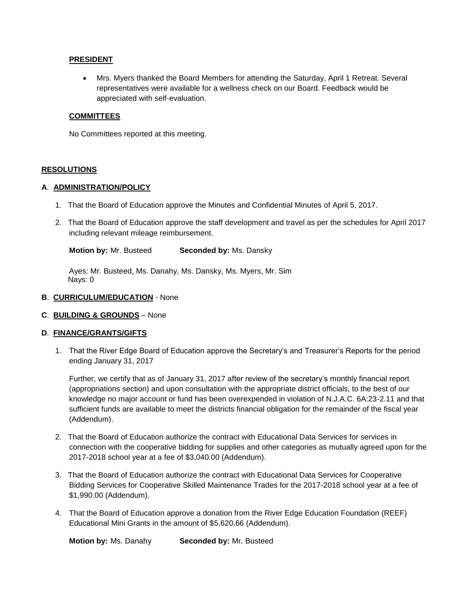## **PRESIDENT**

 Mrs. Myers thanked the Board Members for attending the Saturday, April 1 Retreat. Several representatives were available for a wellness check on our Board. Feedback would be appreciated with self-evaluation.

## **COMMITTEES**

No Committees reported at this meeting.

## **RESOLUTIONS**

## **A**. **ADMINISTRATION/POLICY**

- 1. That the Board of Education approve the Minutes and Confidential Minutes of April 5, 2017.
- 2. That the Board of Education approve the staff development and travel as per the schedules for April 2017 including relevant mileage reimbursement.

 **Motion by:** Mr. Busteed **Seconded by:** Ms. Dansky

 Ayes: Mr. Busteed, Ms. Danahy, Ms. Dansky, Ms. Myers, Mr. Sim Nays: 0

#### **B**. **CURRICULUM/EDUCATION** - None

**C**. **BUILDING & GROUNDS** – None

# **D**. **FINANCE/GRANTS/GIFTS**

1. That the River Edge Board of Education approve the Secretary's and Treasurer's Reports for the period ending January 31, 2017

Further, we certify that as of January 31, 2017 after review of the secretary's monthly financial report (appropriations section) and upon consultation with the appropriate district officials, to the best of our knowledge no major account or fund has been overexpended in violation of N.J.A.C. 6A:23-2.11 and that sufficient funds are available to meet the districts financial obligation for the remainder of the fiscal year (Addendum).

- 2. That the Board of Education authorize the contract with Educational Data Services for services in connection with the cooperative bidding for supplies and other categories as mutually agreed upon for the 2017-2018 school year at a fee of \$3,040.00 (Addendum).
- 3. That the Board of Education authorize the contract with Educational Data Services for Cooperative Bidding Services for Cooperative Skilled Maintenance Trades for the 2017-2018 school year at a fee of \$1,990.00 (Addendum).
- 4. That the Board of Education approve a donation from the River Edge Education Foundation (REEF) Educational Mini Grants in the amount of \$5,620.66 (Addendum).

 **Motion by:** Ms. Danahy **Seconded by:** Mr. Busteed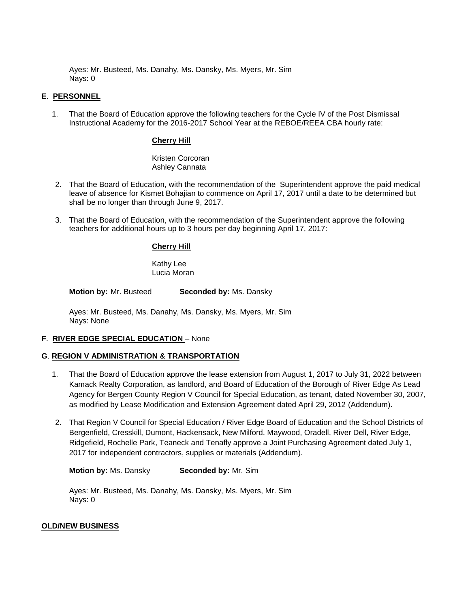Ayes: Mr. Busteed, Ms. Danahy, Ms. Dansky, Ms. Myers, Mr. Sim Nays: 0

# **E**. **PERSONNEL**

1. That the Board of Education approve the following teachers for the Cycle IV of the Post Dismissal Instructional Academy for the 2016-2017 School Year at the REBOE/REEA CBA hourly rate:

#### **Cherry Hill**

Kristen Corcoran Ashley Cannata

- 2. That the Board of Education, with the recommendation of the Superintendent approve the paid medical leave of absence for Kismet Bohajian to commence on April 17, 2017 until a date to be determined but shall be no longer than through June 9, 2017.
- 3. That the Board of Education, with the recommendation of the Superintendent approve the following teachers for additional hours up to 3 hours per day beginning April 17, 2017:

## **Cherry Hill**

Kathy Lee Lucia Moran

 **Motion by:** Mr. Busteed **Seconded by:** Ms. Dansky

Ayes: Mr. Busteed, Ms. Danahy, Ms. Dansky, Ms. Myers, Mr. Sim Nays: None

#### **F**. **RIVER EDGE SPECIAL EDUCATION** – None

#### **G**. **REGION V ADMINISTRATION & TRANSPORTATION**

- 1. That the Board of Education approve the lease extension from August 1, 2017 to July 31, 2022 between Kamack Realty Corporation, as landlord, and Board of Education of the Borough of River Edge As Lead Agency for Bergen County Region V Council for Special Education, as tenant, dated November 30, 2007, as modified by Lease Modification and Extension Agreement dated April 29, 2012 (Addendum).
- 2. That Region V Council for Special Education / River Edge Board of Education and the School Districts of Bergenfield, Cresskill, Dumont, Hackensack, New Milford, Maywood, Oradell, River Dell, River Edge, Ridgefield, Rochelle Park, Teaneck and Tenafly approve a Joint Purchasing Agreement dated July 1, 2017 for independent contractors, supplies or materials (Addendum).

**Motion by:** Ms. Dansky **Seconded by:** Mr. Sim

Ayes: Mr. Busteed, Ms. Danahy, Ms. Dansky, Ms. Myers, Mr. Sim Nays: 0

#### **OLD/NEW BUSINESS**